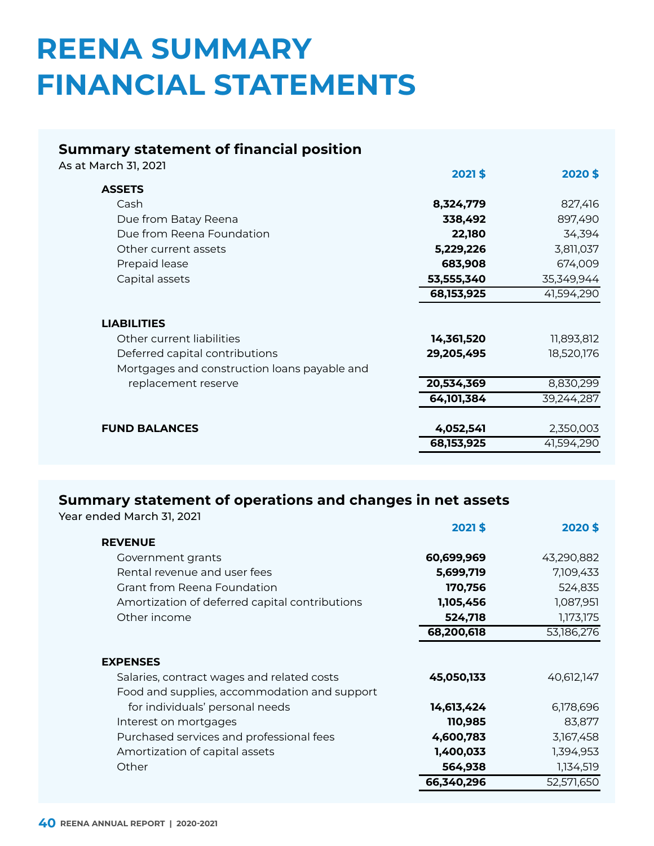# **REENA SUMMARY FINANCIAL STATEMENTS**

# **Summary statement of financial position**

As at March 31, 2021 **2021 \$ 2020 \$**

|                                              | 2021 \$      | <b>2020 \$</b> |
|----------------------------------------------|--------------|----------------|
| <b>ASSETS</b>                                |              |                |
| Cash                                         | 8,324,779    | 827,416        |
| Due from Batay Reena                         | 338,492      | 897,490        |
| Due from Reena Foundation                    | 22,180       | 34,394         |
| Other current assets                         | 5,229,226    | 3,811,037      |
| Prepaid lease                                | 683,908      | 674,009        |
| Capital assets                               | 53,555,340   | 35,349,944     |
|                                              | 68, 153, 925 | 41,594,290     |
| <b>LIABILITIES</b>                           |              |                |
| Other current liabilities                    | 14,361,520   | 11,893,812     |
| Deferred capital contributions               | 29,205,495   | 18,520,176     |
| Mortgages and construction loans payable and |              |                |
| replacement reserve                          | 20,534,369   | 8,830,299      |
|                                              | 64,101,384   | 39,244,287     |
|                                              |              |                |
| <b>FUND BALANCES</b>                         | 4,052,541    | 2,350,003      |
|                                              | 68, 153, 925 | 41,594,290     |
|                                              |              |                |

## **Summary statement of operations and changes in net assets**

Year ended March 31, 2021

|                                                                                                               | 2021\$     | 2020\$     |
|---------------------------------------------------------------------------------------------------------------|------------|------------|
| <b>REVENUE</b>                                                                                                |            |            |
| Government grants                                                                                             | 60,699,969 | 43,290,882 |
| Rental revenue and user fees                                                                                  | 5,699,719  | 7,109,433  |
| <b>Grant from Reena Foundation</b>                                                                            | 170,756    | 524,835    |
| Amortization of deferred capital contributions                                                                | 1,105,456  | 1,087,951  |
| Other income                                                                                                  | 524,718    | 1,173,175  |
|                                                                                                               | 68,200,618 | 53,186,276 |
| <b>EXPENSES</b><br>Salaries, contract wages and related costs<br>Food and supplies, accommodation and support | 45,050,133 | 40,612,147 |
| for individuals' personal needs                                                                               | 14,613,424 | 6,178,696  |
| Interest on mortgages                                                                                         | 110,985    | 83,877     |
| Purchased services and professional fees                                                                      | 4,600,783  | 3,167,458  |
| Amortization of capital assets                                                                                | 1,400,033  | 1,394,953  |
| Other                                                                                                         | 564,938    | 1,134,519  |
|                                                                                                               | 66,340,296 | 52,571,650 |
|                                                                                                               |            |            |